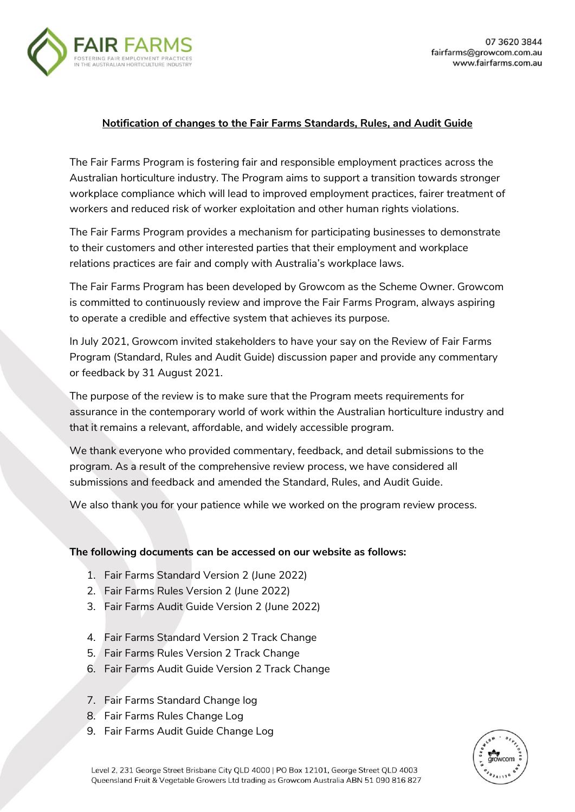

## **Notification of changes to the Fair Farms Standards, Rules, and Audit Guide**

The Fair Farms Program is fostering fair and responsible employment practices across the Australian horticulture industry. The Program aims to support a transition towards stronger workplace compliance which will lead to improved employment practices, fairer treatment of workers and reduced risk of worker exploitation and other human rights violations.

The Fair Farms Program provides a mechanism for participating businesses to demonstrate to their customers and other interested parties that their employment and workplace relations practices are fair and comply with Australia's workplace laws.

The Fair Farms Program has been developed by Growcom as the Scheme Owner. Growcom is committed to continuously review and improve the Fair Farms Program, always aspiring to operate a credible and effective system that achieves its purpose.

In July 2021, Growcom invited stakeholders to have your say on the Review of Fair Farms Program (Standard, Rules and Audit Guide) discussion paper and provide any commentary or feedback by 31 August 2021.

The purpose of the review is to make sure that the Program meets requirements for assurance in the contemporary world of work within the Australian horticulture industry and that it remains a relevant, affordable, and widely accessible program.

We thank everyone who provided commentary, feedback, and detail submissions to the program. As a result of the comprehensive review process, we have considered all submissions and feedback and amended the Standard, Rules, and Audit Guide.

We also thank you for your patience while we worked on the program review process.

## **The following documents can be accessed on our website as follows:**

- 1. Fair Farms Standard Version 2 (June 2022)
- 2. Fair Farms Rules Version 2 (June 2022)
- 3. Fair Farms Audit Guide Version 2 (June 2022)
- 4. Fair Farms Standard Version 2 Track Change
- 5. Fair Farms Rules Version 2 Track Change
- 6. Fair Farms Audit Guide Version 2 Track Change
- 7. Fair Farms Standard Change log
- 8. Fair Farms Rules Change Log
- 9. Fair Farms Audit Guide Change Log